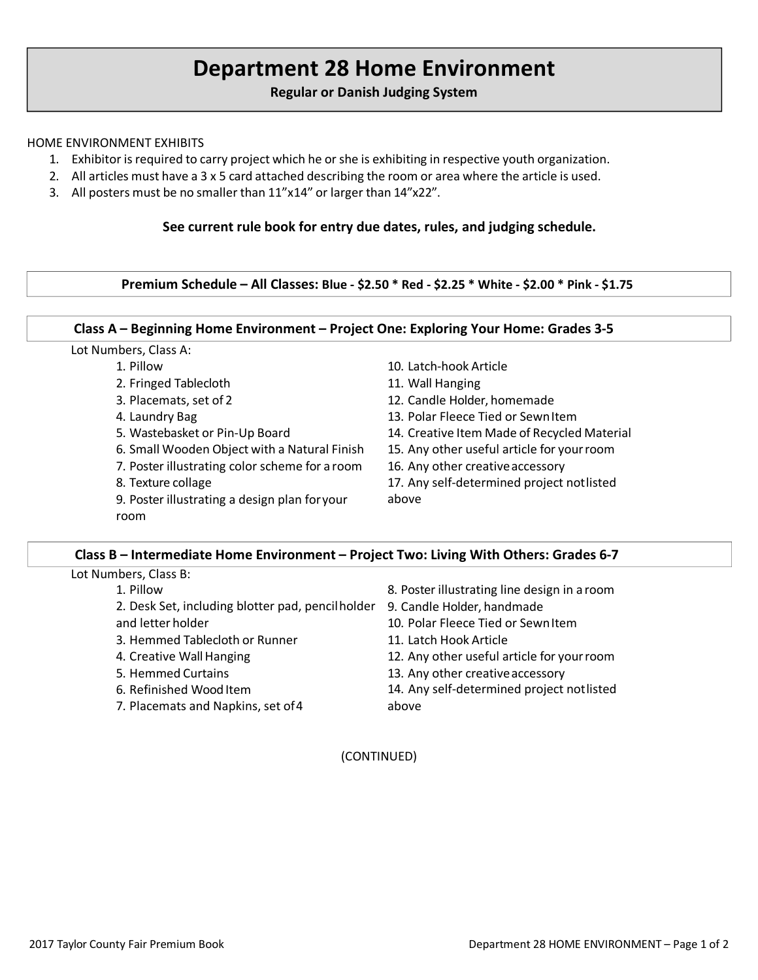# **Department 28 Home Environment**

# **Regular or Danish Judging System**

### HOME ENVIRONMENT EXHIBITS

- 1. Exhibitor is required to carry project which he orshe is exhibiting in respective youth organization.
- 2. All articles must have a 3 x 5 card attached describing the room or area where the article is used.
- 3. All posters must be no smaller than 11"x14" or larger than 14"x22".

# **See current rule book for entry due dates, rules, and judging schedule.**

**Premium Schedule – All Classes: Blue - \$2.50 \* Red - \$2.25 \* White - \$2.00 \* Pink - \$1.75**

#### **Class A – Beginning Home Environment – Project One: Exploring Your Home: Grades 3-5**

#### Lot Numbers, Class A:

- 1. Pillow
- 2. Fringed Tablecloth
- 3. Placemats, set of 2
- 4. Laundry Bag
- 5. Wastebasket or Pin-Up Board
- 6. Small Wooden Object with a Natural Finish
- 7. Poster illustrating color scheme for a room
- 8. Texture collage
- 9. Poster illustrating a design plan foryour room
- 10. Latch-hook Article
- 11. Wall Hanging
- 12. Candle Holder, homemade
- 13. Polar Fleece Tied or SewnItem
- 14. Creative Item Made of Recycled Material
- 15. Any other useful article for yourroom
- 16. Any other creativeaccessory
- 17. Any self-determined project notlisted
- above

# **Class B – Intermediate Home Environment – Project Two: Living With Others: Grades 6-7**

| Lot Numbers, Class B: |  |
|-----------------------|--|
|-----------------------|--|

- 1. Pillow
- 2. Desk Set, including blotter pad, pencilholder 9. Candle Holder, handmade
- and letter holder
- 3. Hemmed Tablecloth or Runner
- 4. Creative Wall Hanging
- 5. Hemmed Curtains
- 6. Refinished Wood Item
- 7. Placemats and Napkins, set of4
- 8. Poster illustrating line design in a room
- 
- 10. Polar Fleece Tied or SewnItem
- 11. Latch Hook Article
- 12. Any other useful article for yourroom
- 13. Any other creativeaccessory
- 14. Any self-determined project notlisted above

(CONTINUED)